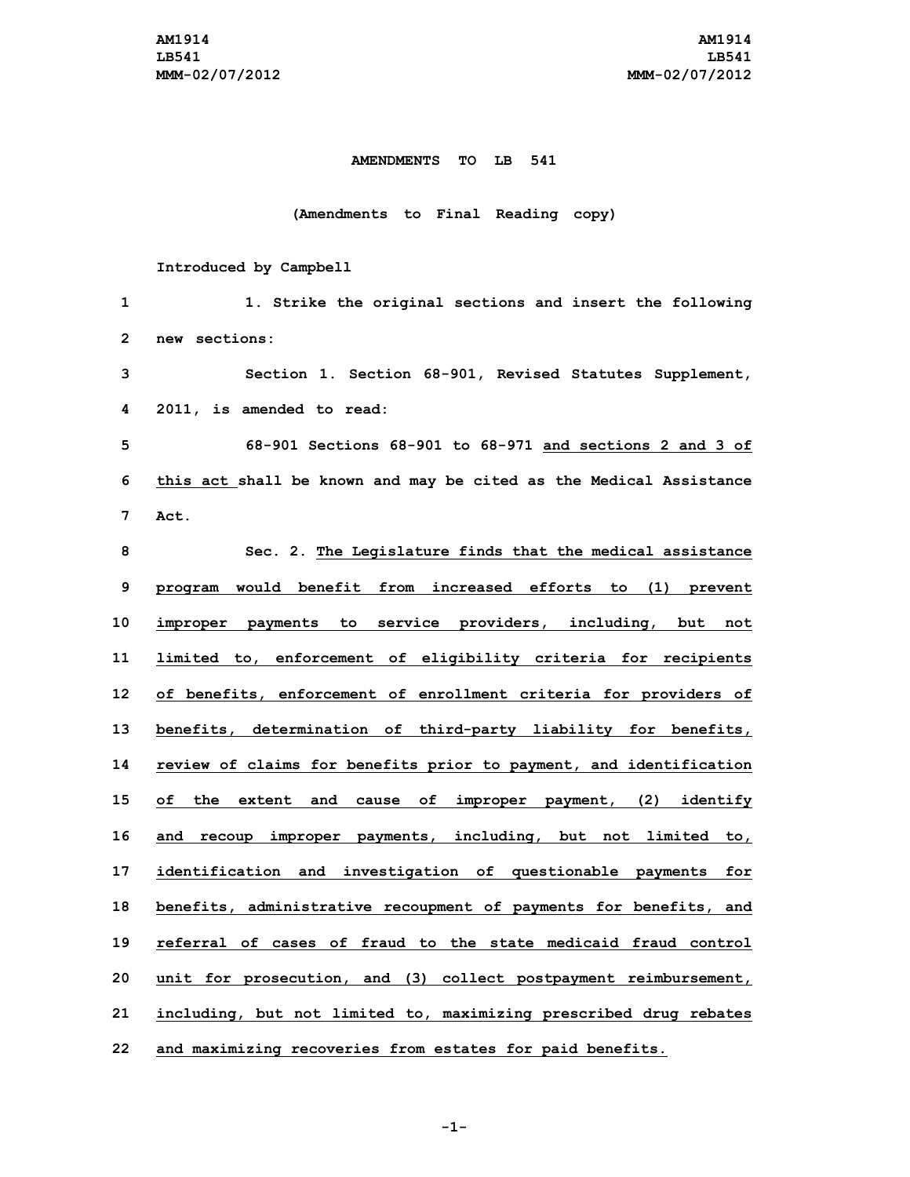## **AMENDMENTS TO LB 541**

## **(Amendments to Final Reading copy)**

## **Introduced by Campbell**

| 1            | 1. Strike the original sections and insert the following           |
|--------------|--------------------------------------------------------------------|
| $\mathbf{2}$ | new sections:                                                      |
| 3            | Section 1. Section 68-901, Revised Statutes Supplement,            |
| 4            | 2011, is amended to read:                                          |
| 5            | 68-901 Sections 68-901 to 68-971 and sections 2 and 3 of           |
| 6            | this act shall be known and may be cited as the Medical Assistance |
| 7            | Act.                                                               |
| 8            | Sec. 2. The Legislature finds that the medical assistance          |
| 9            | program would benefit from increased efforts to (1) prevent        |
| 10           | improper payments to service providers, including, but not         |
| 11           | limited to, enforcement of eligibility criteria for recipients     |
| 12           | of benefits, enforcement of enrollment criteria for providers of   |
| 13           | benefits, determination of third-party liability for benefits,     |
| 14           | review of claims for benefits prior to payment, and identification |
| 15           | of the extent and cause of improper payment, (2) identify          |
| 16           | and recoup improper payments, including, but not limited to,       |
| 17           | identification and investigation of questionable payments for      |
| 18           | benefits, administrative recoupment of payments for benefits, and  |
| 19           | referral of cases of fraud to the state medicaid fraud control     |
| 20           | unit for prosecution, and (3) collect postpayment reimbursement,   |
| 21           | including, but not limited to, maximizing prescribed drug rebates  |
| 22           | and maximizing recoveries from estates for paid benefits.          |

**-1-**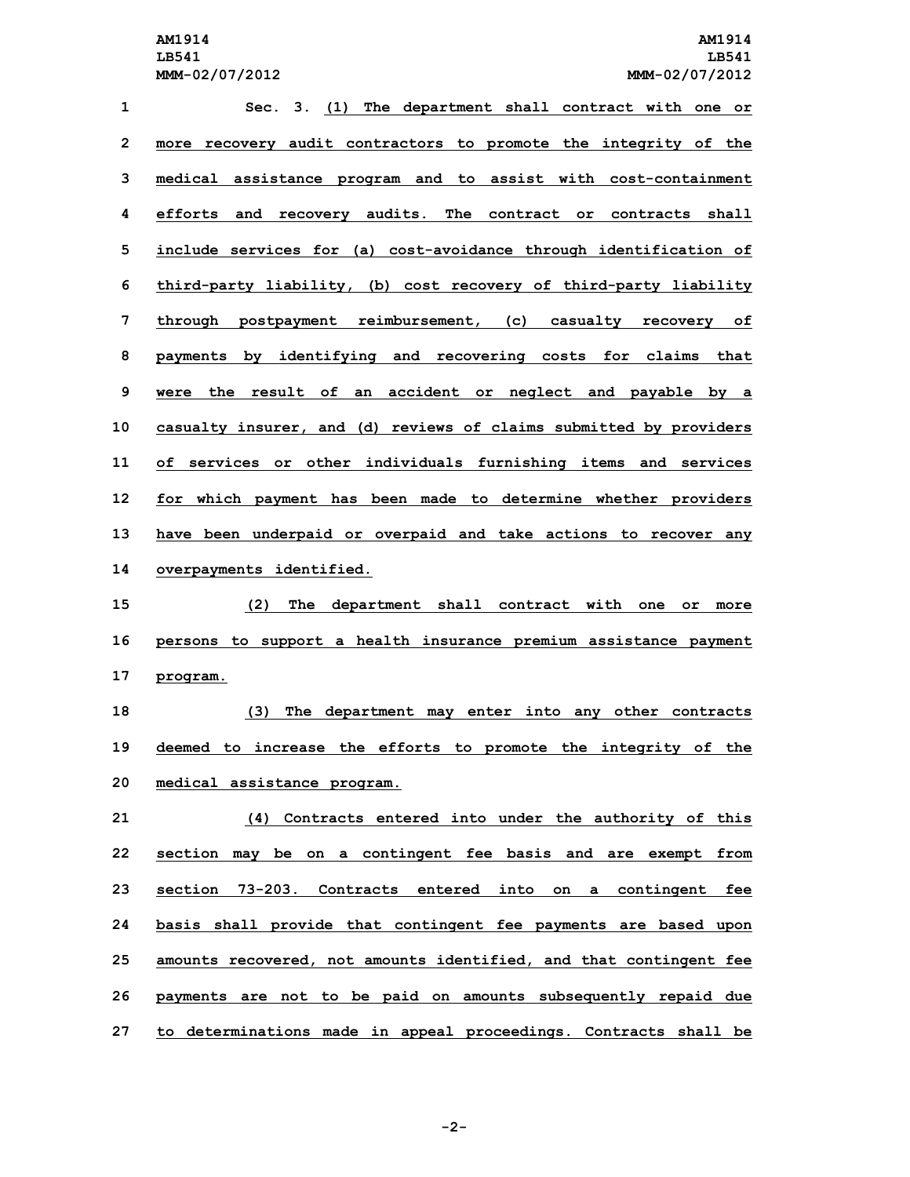**Sec. 3. (1) The department shall contract with one or more recovery audit contractors to promote the integrity of the medical assistance program and to assist with cost-containment efforts and recovery audits. The contract or contracts shall include services for (a) cost-avoidance through identification of third-party liability, (b) cost recovery of third-party liability through postpayment reimbursement, (c) casualty recovery of payments by identifying and recovering costs for claims that were the result of an accident or neglect and payable by <sup>a</sup> casualty insurer, and (d) reviews of claims submitted by providers of services or other individuals furnishing items and services for which payment has been made to determine whether providers have been underpaid or overpaid and take actions to recover any overpayments identified. (2) The department shall contract with one or more persons to support <sup>a</sup> health insurance premium assistance payment 17 program. (3) The department may enter into any other contracts deemed to increase the efforts to promote the integrity of the medical assistance program. (4) Contracts entered into under the authority of this section may be on <sup>a</sup> contingent fee basis and are exempt from section 73-203. Contracts entered into on <sup>a</sup> contingent fee basis shall provide that contingent fee payments are based upon amounts recovered, not amounts identified, and that contingent fee payments are not to be paid on amounts subsequently repaid due to determinations made in appeal proceedings. Contracts shall be**

**-2-**